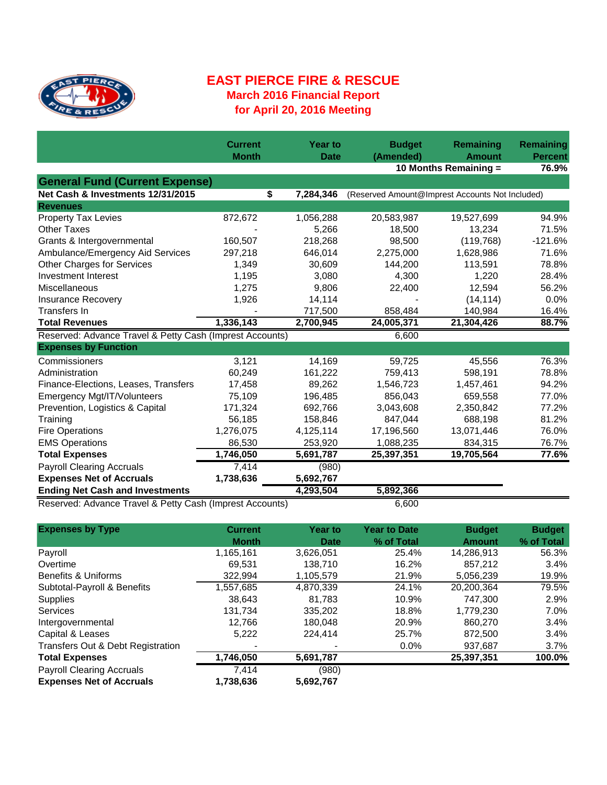

## **EAST PIERCE FIRE & RESCUE March 2016 Financial Report for April 20, 2016 Meeting**

|                                                          | <b>Current</b><br><b>Month</b> | <b>Year to</b><br><b>Date</b> | <b>Budget</b><br>(Amended) | Remaining<br><b>Amount</b>                      | Remaining<br><b>Percent</b> |
|----------------------------------------------------------|--------------------------------|-------------------------------|----------------------------|-------------------------------------------------|-----------------------------|
|                                                          |                                |                               |                            | 10 Months Remaining =                           | 76.9%                       |
| <b>General Fund (Current Expense)</b>                    |                                |                               |                            |                                                 |                             |
| Net Cash & Investments 12/31/2015                        | \$                             | 7,284,346                     |                            | (Reserved Amount@Imprest Accounts Not Included) |                             |
| <b>Revenues</b>                                          |                                |                               |                            |                                                 |                             |
| <b>Property Tax Levies</b>                               | 872,672                        | 1,056,288                     | 20,583,987                 | 19,527,699                                      | 94.9%                       |
| <b>Other Taxes</b>                                       |                                | 5,266                         | 18,500                     | 13,234                                          | 71.5%                       |
| Grants & Intergovernmental                               | 160,507                        | 218,268                       | 98,500                     | (119, 768)                                      | $-121.6%$                   |
| Ambulance/Emergency Aid Services                         | 297,218                        | 646,014                       | 2,275,000                  | 1,628,986                                       | 71.6%                       |
| <b>Other Charges for Services</b>                        | 1,349                          | 30,609                        | 144,200                    | 113,591                                         | 78.8%                       |
| Investment Interest                                      | 1,195                          | 3,080                         | 4,300                      | 1,220                                           | 28.4%                       |
| Miscellaneous                                            | 1,275                          | 9,806                         | 22,400                     | 12,594                                          | 56.2%                       |
| <b>Insurance Recovery</b>                                | 1,926                          | 14,114                        |                            | (14, 114)                                       | 0.0%                        |
| Transfers In                                             |                                | 717,500                       | 858,484                    | 140,984                                         | 16.4%                       |
| <b>Total Revenues</b>                                    | 1,336,143                      | 2,700,945                     | 24,005,371                 | 21,304,426                                      | 88.7%                       |
| Reserved: Advance Travel & Petty Cash (Imprest Accounts) |                                |                               | 6,600                      |                                                 |                             |
| <b>Expenses by Function</b>                              |                                |                               |                            |                                                 |                             |
| Commissioners                                            | 3,121                          | 14,169                        | 59,725                     | 45,556                                          | 76.3%                       |
| Administration                                           | 60,249                         | 161,222                       | 759,413                    | 598,191                                         | 78.8%                       |
| Finance-Elections, Leases, Transfers                     | 17,458                         | 89,262                        | 1,546,723                  | 1,457,461                                       | 94.2%                       |
| Emergency Mgt/IT/Volunteers                              | 75,109                         | 196,485                       | 856,043                    | 659,558                                         | 77.0%                       |
| Prevention, Logistics & Capital                          | 171,324                        | 692,766                       | 3,043,608                  | 2,350,842                                       | 77.2%                       |
| Training                                                 | 56,185                         | 158,846                       | 847,044                    | 688,198                                         | 81.2%                       |
| <b>Fire Operations</b>                                   | 1,276,075                      | 4,125,114                     | 17,196,560                 | 13,071,446                                      | 76.0%                       |
| <b>EMS Operations</b>                                    | 86,530                         | 253,920                       | 1,088,235                  | 834,315                                         | 76.7%                       |
| <b>Total Expenses</b>                                    | 1,746,050                      | 5,691,787                     | 25,397,351                 | 19,705,564                                      | 77.6%                       |
| <b>Payroll Clearing Accruals</b>                         | 7,414                          | (980)                         |                            |                                                 |                             |
| <b>Expenses Net of Accruals</b>                          | 1,738,636                      | 5,692,767                     |                            |                                                 |                             |
| <b>Ending Net Cash and Investments</b>                   |                                | 4,293,504                     | 5,892,366                  |                                                 |                             |
| Reserved: Advance Travel & Petty Cash (Imprest Accounts) |                                | 6,600                         |                            |                                                 |                             |

**Expenses by Type Year to Date Budget Budget % of Total Amount % of Total** Payroll 1,165,161 3,626,051 25.4% 14,286,913 56.3% Overtime 69,531 138,710 16.2% 857,212 3.4% Benefits & Uniforms **322,994** 1,105,579 21.9% 5,056,239 19.9% Subtotal-Payroll & Benefits 1,557,685 4,870,339 24.1% 20,200,364 79.5% Supplies 38,643 81,783 10.9% 747,300 2.9% Services 131,734 335,202 18.8% 1,779,230 7.0% Intergovernmental 12,766 180,048 20.9% 860,270 3.4% Capital & Leases 5,222 224,414 25.7% 872,500 3.4% Transfers Out & Debt Registration - - 0.0% 937,687 3.7% **Total Expenses 1,746,050 5,691,787 25,397,351 100.0%** Payroll Clearing Accruals 7,414 (980) **Expenses Net of Accruals 1,738,636 5,692,767 Current Month Year to Date**